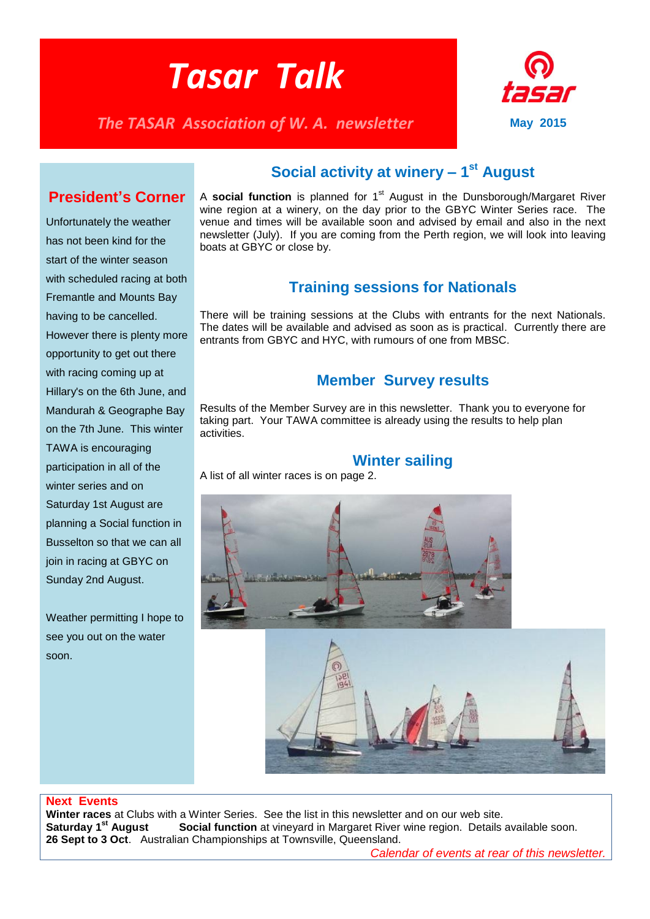# *Tasar Talk*

*The TASAR Association of W. A. newsletter* **May 2015** 



## **President's Corner**

Unfortunately the weather has not been kind for the start of the winter season with scheduled racing at both Fremantle and Mounts Bay having to be cancelled. However there is plenty more opportunity to get out there with racing coming up at Hillary's on the 6th June, and Mandurah & Geographe Bay on the 7th June. This winter TAWA is encouraging participation in all of the winter series and on Saturday 1st August are planning a Social function in Busselton so that we can all join in racing at GBYC on Sunday 2nd August.

Weather permitting I hope to see you out on the water soon.

# **Social activity at winery – 1 st August**

A **social function** is planned for 1<sup>st</sup> August in the Dunsborough/Margaret River wine region at a winery, on the day prior to the GBYC Winter Series race. The venue and times will be available soon and advised by email and also in the next newsletter (July). If you are coming from the Perth region, we will look into leaving boats at GBYC or close by.

## **Training sessions for Nationals**

There will be training sessions at the Clubs with entrants for the next Nationals. The dates will be available and advised as soon as is practical. Currently there are entrants from GBYC and HYC, with rumours of one from MBSC.

## **Member Survey results**

Results of the Member Survey are in this newsletter. Thank you to everyone for taking part. Your TAWA committee is already using the results to help plan activities.

## **Winter sailing**

A list of all winter races is on page 2.





## **Next Events**

**Winter races** at Clubs with a Winter Series. See the list in this newsletter and on our web site.<br>**Saturday 1<sup>st</sup> August Social function** at vinevard in Margaret River wine region. Details **Social function** at vinevard in Margaret River wine region. Details available soon. **26 Sept to 3 Oct**. Australian Championships at Townsville, Queensland.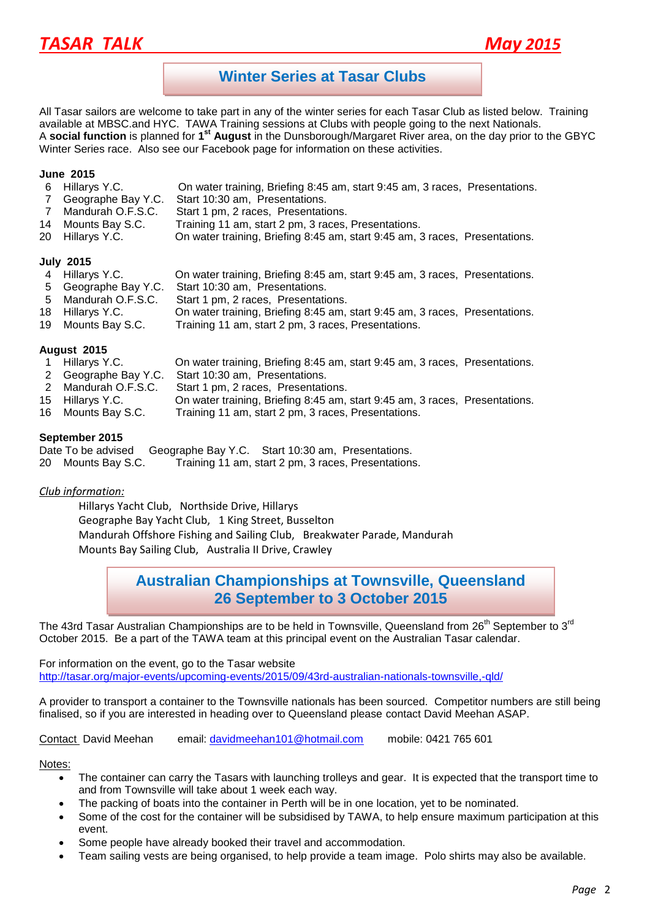# *TASAR TALK May 2015*



## **Winter Series at Tasar Clubs**

All Tasar sailors are welcome to take part in any of the winter series for each Tasar Club as listed below. Training available at MBSC.and HYC. TAWA Training sessions at Clubs with people going to the next Nationals. A **social function** is planned for 1<sup>st</sup> August in the Dunsborough/Margaret River area, on the day prior to the GBYC Winter Series race. Also see our Facebook page for information on these activities.

#### **June 2015**

- 6 Hillarys Y.C. On water training, Briefing 8:45 am, start 9:45 am, 3 races, Presentations.
- 7 Geographe Bay Y.C. Start 10:30 am, Presentations.
- 7 Mandurah O.F.S.C. Start 1 pm, 2 races, Presentations.
- 14 Mounts Bay S.C. Training 11 am, start 2 pm, 3 races, Presentations.
- 20 Hillarys Y.C. On water training, Briefing 8:45 am, start 9:45 am, 3 races, Presentations.

#### **July 2015**

- 4 Hillarys Y.C. On water training, Briefing 8:45 am, start 9:45 am, 3 races, Presentations.
- 5 Geographe Bay Y.C. Start 10:30 am, Presentations.
- 5 Mandurah O.F.S.C. Start 1 pm, 2 races, Presentations.
- 18 Hillarys Y.C. On water training, Briefing 8:45 am, start 9:45 am, 3 races, Presentations.
- 19 Mounts Bay S.C. Training 11 am, start 2 pm, 3 races, Presentations.

## **August 2015**

- 1 Hillarys Y.C. On water training, Briefing 8:45 am, start 9:45 am, 3 races, Presentations.
- 2 Geographe Bay Y.C. Start 10:30 am, Presentations.
- 2 Mandurah O.F.S.C. Start 1 pm, 2 races, Presentations.
- 15 Hillarys Y.C. On water training, Briefing 8:45 am, start 9:45 am, 3 races, Presentations.
- 16 Mounts Bay S.C. Training 11 am, start 2 pm, 3 races, Presentations.

#### **September 2015**

| Date To be advised | Geographe Bay Y.C. Start 10:30 am, Presentations. |                                                     |  |
|--------------------|---------------------------------------------------|-----------------------------------------------------|--|
| 20 Mounts Bay S.C. |                                                   | Training 11 am, start 2 pm, 3 races, Presentations. |  |

## *Club information:*

Hillarys Yacht Club, Northside Drive, Hillarys Geographe Bay Yacht Club, 1 King Street, Busselton Mandurah Offshore Fishing and Sailing Club, Breakwater Parade, Mandurah Mounts Bay Sailing Club, Australia II Drive, Crawley

## **Australian Championships at Townsville, Queensland 26 September to 3 October 2015**

The 43rd Tasar Australian Championships are to be held in Townsville, Queensland from 26<sup>th</sup> September to 3<sup>rd</sup> October 2015. Be a part of the TAWA team at this principal event on the Australian Tasar calendar.

For information on the event, go to the Tasar website <http://tasar.org/major-events/upcoming-events/2015/09/43rd-australian-nationals-townsville,-qld/>

A provider to transport a container to the Townsville nationals has been sourced. Competitor numbers are still being finalised, so if you are interested in heading over to Queensland please contact David Meehan ASAP.

Contact David Meehan email: [davidmeehan101@hotmail.com](mailto:davidmeehan101@hotmail.com) mobile: 0421 765 601

Notes:

- The container can carry the Tasars with launching trolleys and gear. It is expected that the transport time to and from Townsville will take about 1 week each way.
- The packing of boats into the container in Perth will be in one location, yet to be nominated.
- Some of the cost for the container will be subsidised by TAWA, to help ensure maximum participation at this event.
- Some people have already booked their travel and accommodation.
- Team sailing vests are being organised, to help provide a team image. Polo shirts may also be available.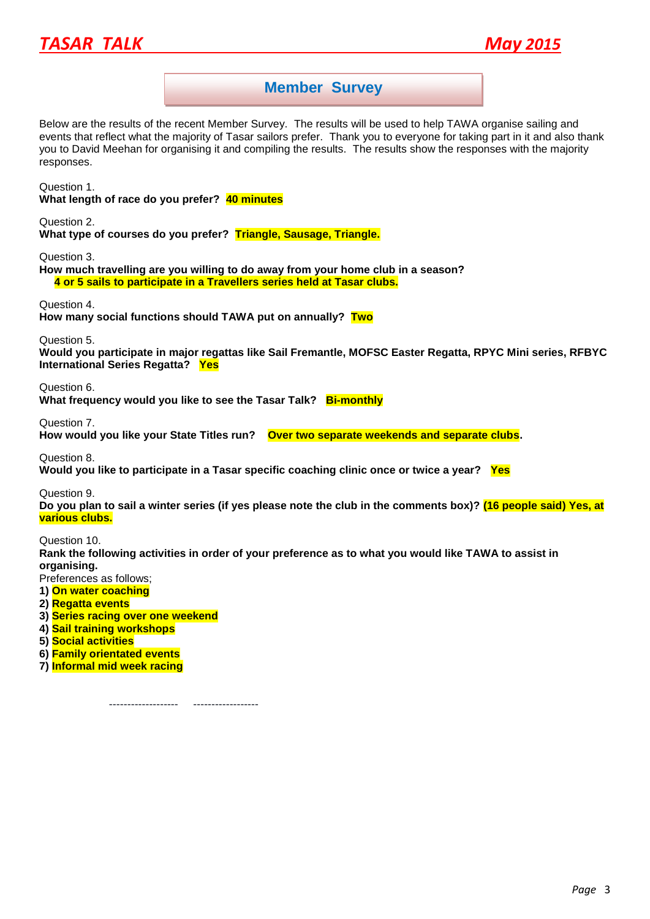



## **Member Survey**

Below are the results of the recent Member Survey. The results will be used to help TAWA organise sailing and events that reflect what the majority of Tasar sailors prefer. Thank you to everyone for taking part in it and also thank you to David Meehan for organising it and compiling the results. The results show the responses with the majority responses.

Question 1.

**What length of race do you prefer? 40 minutes**

Question 2.

**What type of courses do you prefer? Triangle, Sausage, Triangle.**

Question 3.

**How much travelling are you willing to do away from your home club in a season? 4 or 5 sails to participate in a Travellers series held at Tasar clubs.**

Question 4.

**How many social functions should TAWA put on annually? Two**

Question 5.

**Would you participate in major regattas like Sail Fremantle, MOFSC Easter Regatta, RPYC Mini series, RFBYC International Series Regatta? Yes**

Question 6.

What frequency would you like to see the Tasar Talk? **Bi-monthly** 

Question 7.

**How would you like your State Titles run? Over two separate weekends and separate clubs.**

Question 8. **Would you like to participate in a Tasar specific coaching clinic once or twice a year? Yes**

Question 9.

**Do you plan to sail a winter series (if yes please note the club in the comments box)? (16 people said) Yes, at various clubs.**

Question 10.

**Rank the following activities in order of your preference as to what you would like TAWA to assist in organising.**

Preferences as follows;

- **1) On water coaching**
- **2) Regatta events**
- **3) Series racing over one weekend**
- **4) Sail training workshops**
- **5) Social activities**
- **6) Family orientated events**
- **7) Informal mid week racing**

-------------------- -----------------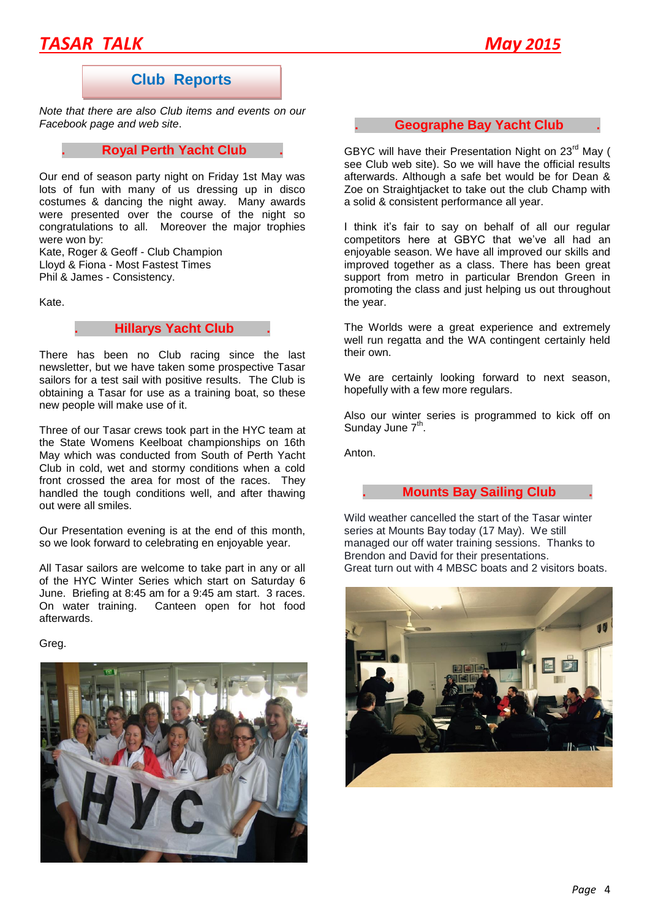# *TASAR TALK May 2015*

## **Club Reports**

*Note that there are also Club items and events on our Facebook page and web site*.

## **. Royal Perth Yacht Club .**

Our end of season party night on Friday 1st May was lots of fun with many of us dressing up in disco costumes & dancing the night away. Many awards were presented over the course of the night so congratulations to all. Moreover the major trophies were won by:

Kate, Roger & Geoff - Club Champion Lloyd & Fiona - Most Fastest Times Phil & James - Consistency.

Kate.

## **. Hillarys Yacht Club .**

There has been no Club racing since the last newsletter, but we have taken some prospective Tasar sailors for a test sail with positive results. The Club is obtaining a Tasar for use as a training boat, so these new people will make use of it.

Three of our Tasar crews took part in the HYC team at the State Womens Keelboat championships on 16th May which was conducted from South of Perth Yacht Club in cold, wet and stormy conditions when a cold front crossed the area for most of the races. They handled the tough conditions well, and after thawing out were all smiles.

Our Presentation evening is at the end of this month, so we look forward to celebrating en enjoyable year.

All Tasar sailors are welcome to take part in any or all of the HYC Winter Series which start on Saturday 6 June. Briefing at 8:45 am for a 9:45 am start. 3 races. Canteen open for hot food afterwards.

Greg.



## **. Geographe Bay Yacht Club .**

GBYC will have their Presentation Night on  $23^{\text{rd}}$  May ( see Club web site). So we will have the official results afterwards. Although a safe bet would be for Dean & Zoe on Straightjacket to take out the club Champ with a solid & consistent performance all year.

I think it's fair to say on behalf of all our regular competitors here at GBYC that we've all had an enjoyable season. We have all improved our skills and improved together as a class. There has been great support from metro in particular Brendon Green in promoting the class and just helping us out throughout the year.

The Worlds were a great experience and extremely well run regatta and the WA contingent certainly held their own.

We are certainly looking forward to next season, hopefully with a few more regulars.

Also our winter series is programmed to kick off on Sunday June 7<sup>th</sup>.

Anton.

## **. Mounts Bay Sailing Club .**

Wild weather cancelled the start of the Tasar winter series at Mounts Bay today (17 May). We still managed our off water training sessions. Thanks to Brendon and David for their presentations. Great turn out with 4 MBSC boats and 2 visitors boats.